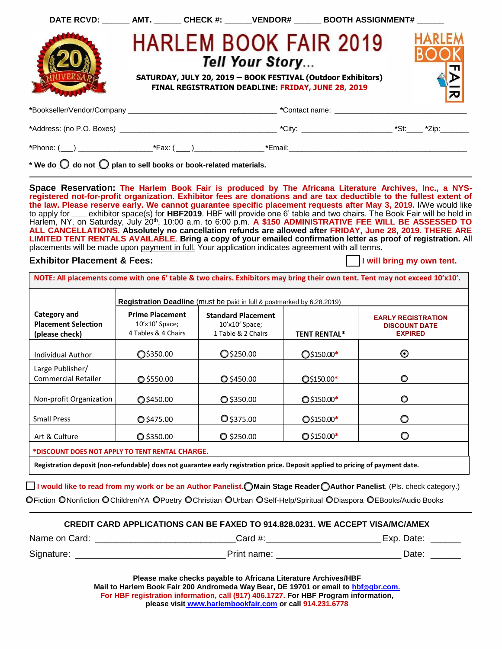| DATE RCVD: AMT. ______ CHECK #: ______ VENDOR# ______ BOOTH ASSIGNMENT# ______ |  |                                                                       |                                                                                              |               |
|--------------------------------------------------------------------------------|--|-----------------------------------------------------------------------|----------------------------------------------------------------------------------------------|---------------|
|                                                                                |  | Tell Your Story<br>FINAL REGISTRATION DEADLINE: FRIDAY, JUNE 28, 2019 | <b>HARLEM BOOK FAIR 2019</b><br>SATURDAY, JULY 20, 2019 - BOOK FESTIVAL (Outdoor Exhibitors) | <b>HARLEM</b> |
|                                                                                |  |                                                                       |                                                                                              |               |
|                                                                                |  |                                                                       |                                                                                              |               |
| *Phone: (___) _________________________*Fax: (____)___________________         |  |                                                                       |                                                                                              |               |

\* We do  $\bigcirc$  do not  $\bigcirc$  plan to sell books or book-related materials.

**Space Reservation: The Harlem Book Fair is produced by The Africana Literature Archives, Inc., a NYSregistered not-for-profit organization. Exhibitor fees are donations and are tax deductible to the fullest extent of the law. Please reserve early. We cannot guarantee specific placement requests after May 3, 2019.** I/We would like to apply for exhibitor space(s) for **HBF2019**. HBF will provide one 6' table and two chairs. The Book Fair will be held in Harlem, NY, on Saturday, July 20<sup>th</sup>, 10:00 a.m. to 6:00 p.m. **A \$150 ADMINISTRATIVE FEE WILL BE ASSESSED TO ALL CANCELLATIONS. Absolutely no cancellation refunds are allowed after FRIDAY, June 28, 2019. THERE ARE LIMITED TENT RENTALS AVAILABLE**. **Bring a copy of your emailed confirmation letter as proof of registration.** All placements will be made upon payment in full. Your application indicates agreement with all terms.

#### **Exhibitor Placement & Fees: I will be a set of the U.S. I will bring my own tent.**

**NOTE: All placements come with one 6' table & two chairs. Exhibitors may bring their own tent. Tent may not exceed 10'x10'.** 

| 1 Table & 2 Chairs                                                                                                      | <b>TENT RENTAL*</b> | <b>DISCOUNT DATE</b><br><b>EXPIRED</b> |
|-------------------------------------------------------------------------------------------------------------------------|---------------------|----------------------------------------|
| O\$250.00                                                                                                               | O\$150.00*          | ⊙                                      |
| $O$ \$450.00                                                                                                            | $Q$150.00*$         | O                                      |
| $Q$ \$350.00                                                                                                            | $O$5150.00*$        | O                                      |
| O \$375.00                                                                                                              | $Q$ \$150.00*       | ∩                                      |
| $O$ \$250.00                                                                                                            | $O$3150.00*$        |                                        |
| ◯\$350.00<br>$O$ \$550.00<br>O\$450.00<br>O \$475.00<br>$O$ \$350.00<br>*DISCOUNT DOES NOT APPLY TO TENT RENTAL CHARGE. |                     |                                        |

**I would like to read from my work or be an Author Panelist. Main Stage Reader Author Panelist**. (Pls. check category.)

OFiction ONonfiction OChildren/YA OPoetry OChristian OUrban OSelf-Help/Spiritual ODiaspora OEBooks/Audio Books

| <b>CREDIT CARD APPLICATIONS CAN BE FAXED TO 914.828.0231. WE ACCEPT VISA/MC/AMEX</b> |  |
|--------------------------------------------------------------------------------------|--|
|--------------------------------------------------------------------------------------|--|

| Name on Card: | Card #:     | Exp. Date: |
|---------------|-------------|------------|
| Signature:    | Print name: | Date:      |

**Please make checks payable to Africana Literature Archives/HBF Mail to Harlem Book Fair 200 Andromeda Way Bear, DE 19701 or email to [hbf](mailto:hbf@qbr.com)@qbr.com. For HBF registration information, call (917) 406.1727. For HBF Program information, please visit [www.harlembookfair.com](http://www.harlembookfair.com/) or call 914.231.6778**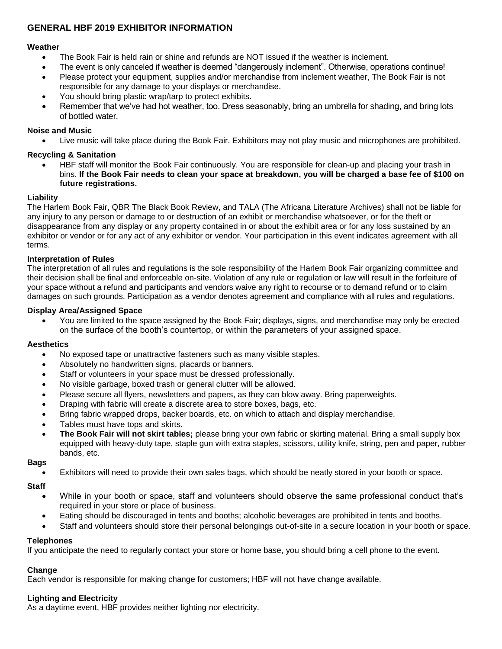# **GENERAL HBF 2019 EXHIBITOR INFORMATION**

#### **Weather**

- The Book Fair is held rain or shine and refunds are NOT issued if the weather is inclement.
- The event is only canceled if weather is deemed "dangerously inclement". Otherwise, operations continue!
- Please protect your equipment, supplies and/or merchandise from inclement weather, The Book Fair is not responsible for any damage to your displays or merchandise.
- You should bring plastic wrap/tarp to protect exhibits.
- Remember that we've had hot weather, too. Dress seasonably, bring an umbrella for shading, and bring lots of bottled water.

# **Noise and Music**

• Live music will take place during the Book Fair. Exhibitors may not play music and microphones are prohibited.

# **Recycling & Sanitation**

• HBF staff will monitor the Book Fair continuously. You are responsible for clean-up and placing your trash in bins. **If the Book Fair needs to clean your space at breakdown, you will be charged a base fee of \$100 on future registrations.**

## **Liability**

The Harlem Book Fair, QBR The Black Book Review, and TALA (The Africana Literature Archives) shall not be liable for any injury to any person or damage to or destruction of an exhibit or merchandise whatsoever, or for the theft or disappearance from any display or any property contained in or about the exhibit area or for any loss sustained by an exhibitor or vendor or for any act of any exhibitor or vendor. Your participation in this event indicates agreement with all terms.

## **Interpretation of Rules**

The interpretation of all rules and regulations is the sole responsibility of the Harlem Book Fair organizing committee and their decision shall be final and enforceable on-site. Violation of any rule or regulation or law will result in the forfeiture of your space without a refund and participants and vendors waive any right to recourse or to demand refund or to claim damages on such grounds. Participation as a vendor denotes agreement and compliance with all rules and regulations.

#### **Display Area/Assigned Space**

• You are limited to the space assigned by the Book Fair; displays, signs, and merchandise may only be erected on the surface of the booth's countertop, or within the parameters of your assigned space.

#### **Aesthetics**

- No exposed tape or unattractive fasteners such as many visible staples.
- Absolutely no handwritten signs, placards or banners.
- Staff or volunteers in your space must be dressed professionally.
- No visible garbage, boxed trash or general clutter will be allowed.
- Please secure all flyers, newsletters and papers, as they can blow away. Bring paperweights.
- Draping with fabric will create a discrete area to store boxes, bags, etc.
- Bring fabric wrapped drops, backer boards, etc. on which to attach and display merchandise.
- Tables must have tops and skirts.
- **The Book Fair will not skirt tables;** please bring your own fabric or skirting material. Bring a small supply box equipped with heavy-duty tape, staple gun with extra staples, scissors, utility knife, string, pen and paper, rubber bands, etc.

#### **Bags**

• Exhibitors will need to provide their own sales bags, which should be neatly stored in your booth or space.

**Staff**

- While in your booth or space, staff and volunteers should observe the same professional conduct that's required in your store or place of business.
- Eating should be discouraged in tents and booths; alcoholic beverages are prohibited in tents and booths.
- Staff and volunteers should store their personal belongings out-of-site in a secure location in your booth or space.

# **Telephones**

If you anticipate the need to regularly contact your store or home base, you should bring a cell phone to the event.

#### **Change**

Each vendor is responsible for making change for customers; HBF will not have change available.

# **Lighting and Electricity**

As a daytime event, HBF provides neither lighting nor electricity.